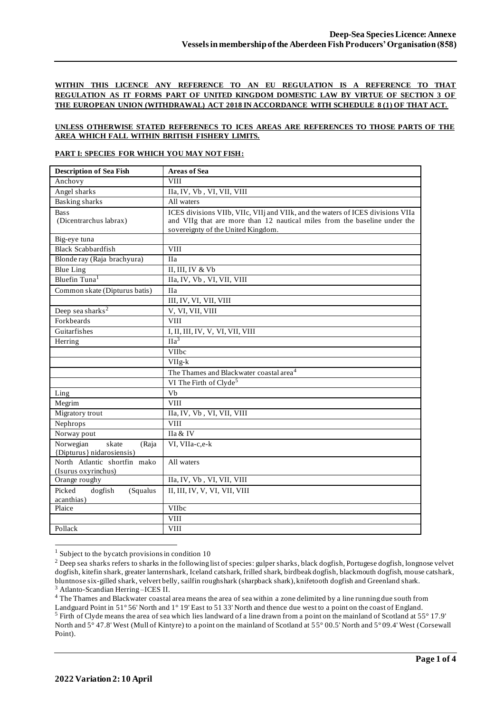## **WITHIN THIS LICENCE ANY REFERENCE TO AN EU REGULATION IS A REFERENCE TO THAT REGULATION AS IT FORMS PART OF UNITED KINGDOM DOMESTIC LAW BY VIRTUE OF SECTION 3 OF THE EUROPEAN UNION (WITHDRAWAL) ACT 2018 IN ACCORDANCE WITH SCHEDULE 8 (1) OF THAT ACT.**

#### **UNLESS OTHERWISE STATED REFERENECS TO ICES AREAS ARE REFERENCES TO THOSE PARTS OF THE AREA WHICH FALL WITHIN BRITISH FISHERY LIMITS.**

#### **PART I: SPECIES FOR WHICH YOU MAY NOT FISH:**

| <b>Description of Sea Fish</b>                           | <b>Areas of Sea</b>                                                                                                                                                                                |
|----------------------------------------------------------|----------------------------------------------------------------------------------------------------------------------------------------------------------------------------------------------------|
| Anchovy                                                  | <b>VIII</b>                                                                                                                                                                                        |
| Angel sharks                                             | IIa, IV, Vb, VI, VII, VIII                                                                                                                                                                         |
| <b>Basking</b> sharks                                    | All waters                                                                                                                                                                                         |
| <b>Bass</b><br>(Dicentrarchus labrax)                    | ICES divisions VIIb, VIIc, VIIj and VIIk, and the waters of ICES divisions VIIa<br>and VIIg that are more than 12 nautical miles from the baseline under the<br>sovereignty of the United Kingdom. |
| Big-eye tuna                                             |                                                                                                                                                                                                    |
| <b>Black Scabbardfish</b>                                | <b>VIII</b>                                                                                                                                                                                        |
| Blonde ray (Raja brachyura)                              | <b>IIa</b>                                                                                                                                                                                         |
| <b>Blue Ling</b>                                         | II, III, IV & Vb                                                                                                                                                                                   |
| Bluefin Tuna <sup>1</sup>                                | IIa, IV, Vb, VI, VII, VIII                                                                                                                                                                         |
| Common skate (Dipturus batis)                            | <b>IIa</b>                                                                                                                                                                                         |
|                                                          | III, IV, VI, VII, VIII                                                                                                                                                                             |
| Deep sea sharks <sup>2</sup>                             | V, VI, VII, VIII                                                                                                                                                                                   |
| Forkbeards                                               | <b>VIII</b>                                                                                                                                                                                        |
| Guitarfishes                                             | I, II, III, IV, V, VI, VII, VIII                                                                                                                                                                   |
| Herring                                                  | $\text{IIa}^3$                                                                                                                                                                                     |
|                                                          | <b>VIIbc</b>                                                                                                                                                                                       |
|                                                          | VIIg-k                                                                                                                                                                                             |
|                                                          | The Thames and Blackwater coastal area <sup>4</sup>                                                                                                                                                |
|                                                          | VI The Firth of Clyde <sup>5</sup>                                                                                                                                                                 |
| Ling                                                     | Vb                                                                                                                                                                                                 |
| Megrim                                                   | <b>VIII</b>                                                                                                                                                                                        |
| Migratory trout                                          | IIa, IV, Vb, VI, VII, VIII                                                                                                                                                                         |
| Nephrops                                                 | VIII                                                                                                                                                                                               |
| Norway pout                                              | IIa & IV                                                                                                                                                                                           |
| Norwegian<br>skate<br>(Raja<br>{Dipturus} nidarosiensis) | VI, VIIa-c,e-k                                                                                                                                                                                     |
| North Atlantic shortfin mako<br>(Isurus oxyrinchus)      | All waters                                                                                                                                                                                         |
| Orange roughy                                            | IIa, IV, Vb, VI, VII, VIII                                                                                                                                                                         |
| Picked<br>dogfish<br>(Squalus<br>acanthias)              | II, III, IV, V, VI, VII, VIII                                                                                                                                                                      |
| Plaice                                                   | VIIbc                                                                                                                                                                                              |
|                                                          | <b>VIII</b>                                                                                                                                                                                        |
| Pollack                                                  | <b>VIII</b>                                                                                                                                                                                        |

 $1$  Subject to the bycatch provisions in condition 10

<sup>&</sup>lt;sup>2</sup> Deep sea sharks refers to sharks in the following list of species: gulper sharks, black dogfish, Portugese dogfish, longnose velvet dogfish, kitefin shark, greater lanternshark, Iceland catshark, frilled shark, birdbeak dogfish, blackmouth dogfish, mouse catshark, bluntnose six-gilled shark, velvert belly, sailfin roughshark (sharpback shark), knifetooth dogfish and Greenland shark. <sup>3</sup> Atlanto-Scandian Herring –ICES II.

<sup>&</sup>lt;sup>4</sup> The Thames and Blackwater coastal area means the area of sea within a zone delimited by a line running due south from Landguard Point in 51° 56' North and 1° 19' East to 51 33' North and thence due west to a point on the coast of England.

<sup>5</sup> Firth of Clyde means the area of sea which lies landward of a line drawn from a point on the mainland of Scotland at 55° 17.9' North and 5° 47.8' West (Mull of Kintyre) to a point on the mainland of Scotland at 55° 00.5' North and 5° 09.4' West (Corsewall Point).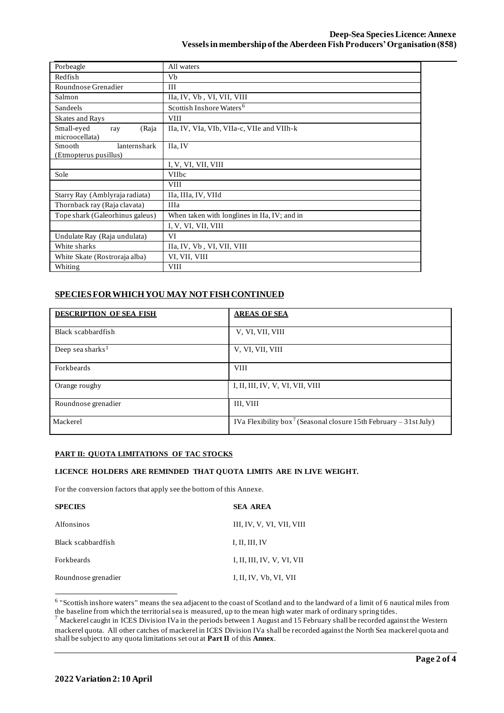| Porbeagle                       | All waters                                   |
|---------------------------------|----------------------------------------------|
| Redfish                         | Vb                                           |
| Roundnose Grenadier             | III                                          |
| Salmon                          | IIa, IV, Vb, VI, VII, VIII                   |
| Sandeels                        | Scottish Inshore Waters <sup>6</sup>         |
| <b>Skates and Rays</b>          | <b>VIII</b>                                  |
| Small-eyed<br>(Raja<br>ray      | IIa, IV, VIa, VIb, VIIa-c, VIIe and VIIh-k   |
| microocellata)                  |                                              |
| lanternshark<br>Smooth          | IIa, IV                                      |
| (Etmopterus pusillus)           |                                              |
|                                 | I, V, VI, VII, VIII                          |
| Sole                            | <b>VIIbc</b>                                 |
|                                 | <b>VIII</b>                                  |
| Starry Ray (Amblyraja radiata)  | IIa, IIIa, IV, VIId                          |
| Thornback ray (Raja clavata)    | <b>IIIa</b>                                  |
| Tope shark (Galeorhinus galeus) | When taken with longlines in IIa, IV; and in |
|                                 | I, V, VI, VII, VIII                          |
| Undulate Ray (Raja undulata)    | VI                                           |
| White sharks                    | IIa, IV, Vb, VI, VII, VIII                   |
| White Skate (Rostroraja alba)   | VI, VII, VIII                                |
| Whiting                         | <b>VIII</b>                                  |

# **SPECIES FOR WHICH YOU MAY NOT FISH CONTINUED**

| <b>DESCRIPTION OF SEA FISH</b> | <b>AREAS OF SEA</b>                                                           |
|--------------------------------|-------------------------------------------------------------------------------|
| Black scabbardfish             | V, VI, VII, VIII                                                              |
| Deep sea sharks <sup>1</sup>   | V, VI, VII, VIII                                                              |
| Forkbeards                     | <b>VIII</b>                                                                   |
| Orange roughy                  | I, II, III, IV, V, VI, VII, VIII                                              |
| Roundnose grenadier            | III, VIII                                                                     |
| Mackerel                       | IVa Flexibility box <sup>7</sup> (Seasonal closure 15th February – 31st July) |

## **PART II: QUOTA LIMITATIONS OF TAC STOCKS**

## **LICENCE HOLDERS ARE REMINDED THAT QUOTA LIMITS ARE IN LIVE WEIGHT.**

For the conversion factors that apply see the bottom of this Annexe.

| <b>SPECIES</b>      | <b>SEA AREA</b>            |
|---------------------|----------------------------|
| Alfonsinos          | III, IV, V, VI, VII, VIII  |
| Black scabbardfish  | I, II, III, IV             |
| <b>Forkheards</b>   | I, II, III, IV, V, VI, VII |
| Roundnose grenadier | I, II, IV, Vb, VI, VII     |

<sup>6</sup> "Scottish inshore waters" means the sea adjacent to the coast of Scotland and to the landward of a limit of 6 nautical miles from the baseline from which the territorial sea is measured, up to the mean high water mark of ordinary spring tides.

 $<sup>7</sup>$  Mackerel caught in ICES Division IVa in the periods between 1 August and 15 February shall be recorded against the Western</sup> mackerel quota. All other catches of mackerel in ICES Division IVa shall be recorded against the North Sea mackerel quota and shall be subject to any quota limitations set out at **Part II** of this **Annex**.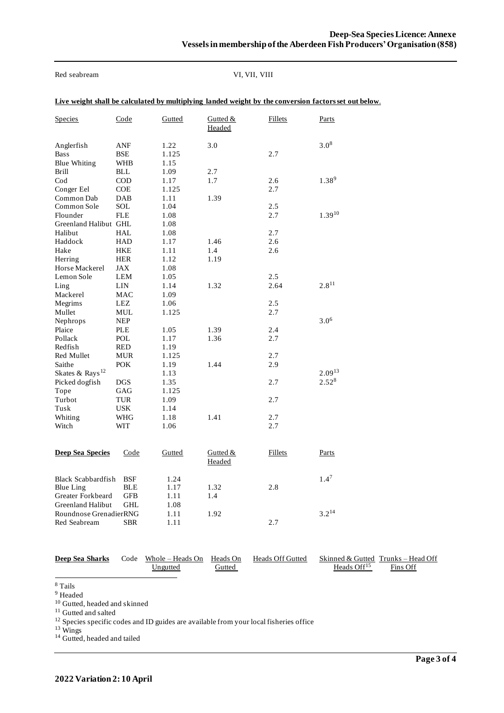Red seabream VI, VII, VIII

|  | Live weight shall be calculated by multiplying landed weight by the conversion factors set out below. |
|--|-------------------------------------------------------------------------------------------------------|
|  |                                                                                                       |

| <b>Species</b>                                   | Code                     | Gutted                | Gutted &<br>Headed | <b>Fillets</b> | <b>Parts</b> |
|--------------------------------------------------|--------------------------|-----------------------|--------------------|----------------|--------------|
| Anglerfish<br><b>Bass</b><br><b>Blue Whiting</b> | ANF<br>BSE<br><b>WHB</b> | 1.22<br>1.125<br>1.15 | 3.0                | 2.7            | $3.0^{8}$    |
| Brill                                            | <b>BLL</b>               | 1.09                  | 2.7                |                |              |
| $\rm Cod$                                        | <b>COD</b>               | 1.17                  | 1.7                | 2.6            | $1.38^{9}$   |
| Conger Eel                                       | <b>COE</b>               | 1.125                 |                    | 2.7            |              |
| Common Dab                                       | DAB                      | 1.11                  | 1.39               |                |              |
| Common Sole                                      | SOL                      | 1.04                  |                    | 2.5            |              |
| Flounder                                         | <b>FLE</b>               | 1.08                  |                    | 2.7            | $1.39^{10}$  |
| Greenland Halibut GHL                            |                          | 1.08                  |                    |                |              |
| Halibut<br>Haddock                               | HAL                      | 1.08                  |                    | 2.7<br>2.6     |              |
| Hake                                             | HAD<br>HKE               | 1.17<br>1.11          | 1.46<br>1.4        | 2.6            |              |
| Herring                                          | HER                      | 1.12                  | 1.19               |                |              |
| Horse Mackerel                                   | JAX                      | 1.08                  |                    |                |              |
| Lemon Sole                                       | LEM                      | 1.05                  |                    | 2.5            |              |
| Ling                                             | LIN                      | 1.14                  | 1.32               | 2.64           | $2.8^{11}$   |
| Mackerel                                         | MAC                      | 1.09                  |                    |                |              |
| Megrims                                          | LEZ                      | 1.06                  |                    | 2.5            |              |
| Mullet                                           | MUL                      | 1.125                 |                    | 2.7            |              |
| Nephrops                                         | <b>NEP</b>               |                       |                    |                | $3.0^{6}$    |
| Plaice                                           | PLE                      | 1.05                  | 1.39               | 2.4            |              |
| Pollack                                          | POL                      | 1.17                  | 1.36               | 2.7            |              |
| Redfish                                          | RED                      | 1.19                  |                    |                |              |
| Red Mullet                                       | <b>MUR</b>               | 1.125                 |                    | 2.7            |              |
| Saithe                                           | <b>POK</b>               | 1.19                  | 1.44               | 2.9            |              |
| Skates & Rays <sup>12</sup>                      |                          | 1.13                  |                    |                | $2.09^{13}$  |
| Picked dogfish                                   | <b>DGS</b>               | 1.35                  |                    | 2.7            | $2.52^{8}$   |
| Tope                                             | GAG                      | 1.125                 |                    |                |              |
| Turbot<br>Tusk                                   | <b>TUR</b><br><b>USK</b> | 1.09<br>1.14          |                    | 2.7            |              |
| Whiting                                          | WHG                      | 1.18                  | 1.41               | 2.7            |              |
| Witch                                            | WIT                      | 1.06                  |                    | 2.7            |              |
|                                                  |                          |                       |                    |                |              |
| <b>Deep Sea Species</b>                          | Code                     | <b>Gutted</b>         | Gutted &           | <b>Fillets</b> | <b>Parts</b> |
|                                                  |                          |                       | Headed             |                |              |
| <b>Black Scabbardfish</b>                        | BSF                      | 1.24                  |                    |                | $1.4^7$      |
| <b>Blue Ling</b>                                 | BLE                      | 1.17                  | 1.32               | 2.8            |              |
| Greater Forkbeard                                | GFB                      | 1.11                  | 1.4                |                |              |
| <b>Greenland Halibut</b>                         | GHL                      | 1.08                  |                    |                |              |
| Roundnose GrenadierRNG                           |                          | 1.11                  | 1.92               |                | $3.2^{14}$   |
| Red Seabream                                     | SBR                      | 1.11                  |                    | 2.7            |              |

| <b>Deep Sea Sharks</b> | Code Whole – Heads On Heads On<br>Ungutted | Gutted | Heads Off Gutted | Heads $Off15$ | Skinned & Gutted Trunks – Head Off<br>Fins Off |
|------------------------|--------------------------------------------|--------|------------------|---------------|------------------------------------------------|
|                        |                                            |        |                  |               |                                                |

<sup>8</sup> Tails

<sup>9</sup> Headed

<sup>10</sup> Gutted, headed and skinned

<sup>11</sup> Gutted and salted

<sup>12</sup> Species specific codes and ID guides are available from your local fisheries office

<sup>13</sup> Wings

<sup>14</sup> Gutted, headed and tailed